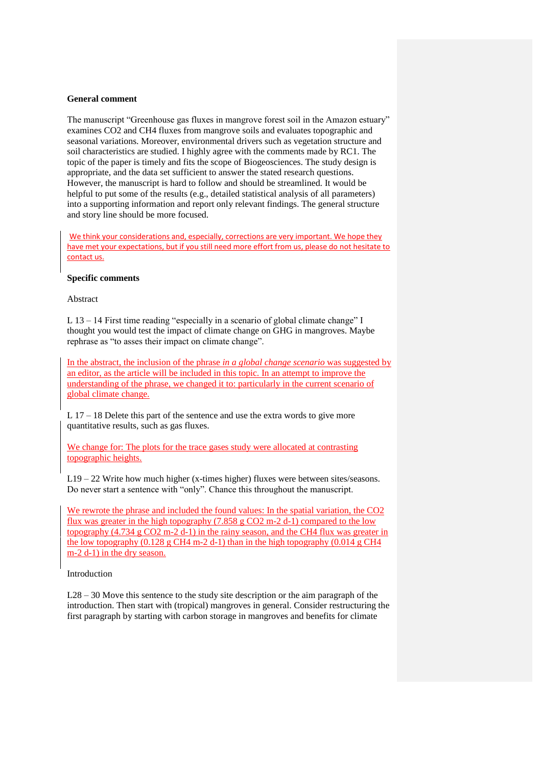## **General comment**

The manuscript "Greenhouse gas fluxes in mangrove forest soil in the Amazon estuary" examines CO2 and CH4 fluxes from mangrove soils and evaluates topographic and seasonal variations. Moreover, environmental drivers such as vegetation structure and soil characteristics are studied. I highly agree with the comments made by RC1. The topic of the paper is timely and fits the scope of Biogeosciences. The study design is appropriate, and the data set sufficient to answer the stated research questions. However, the manuscript is hard to follow and should be streamlined. It would be helpful to put some of the results (e.g., detailed statistical analysis of all parameters) into a supporting information and report only relevant findings. The general structure and story line should be more focused.

We think your considerations and, especially, corrections are very important. We hope they have met your expectations, but if you still need more effort from us, please do not hesitate to contact us.

## **Specific comments**

Abstract

L 13 – 14 First time reading "especially in a scenario of global climate change" I thought you would test the impact of climate change on GHG in mangroves. Maybe rephrase as "to asses their impact on climate change".

In the abstract, the inclusion of the phrase *in a global change scenario* was suggested by an editor, as the article will be included in this topic. In an attempt to improve the understanding of the phrase, we changed it to: particularly in the current scenario of global climate change.

L 17 – 18 Delete this part of the sentence and use the extra words to give more quantitative results, such as gas fluxes.

We change for: The plots for the trace gases study were allocated at contrasting topographic heights.

L19 – 22 Write how much higher (x-times higher) fluxes were between sites/seasons. Do never start a sentence with "only". Chance this throughout the manuscript.

We rewrote the phrase and included the found values: In the spatial variation, the CO2 flux was greater in the high topography (7.858 g CO2 m-2 d-1) compared to the low topography (4.734 g CO2 m-2 d-1) in the rainy season, and the CH4 flux was greater in the low topography  $(0.128 \text{ g CH4 m-2 d-1})$  than in the high topography  $(0.014 \text{ g CH4})$ m-2 d-1) in the dry season.

Introduction

L28 – 30 Move this sentence to the study site description or the aim paragraph of the introduction. Then start with (tropical) mangroves in general. Consider restructuring the first paragraph by starting with carbon storage in mangroves and benefits for climate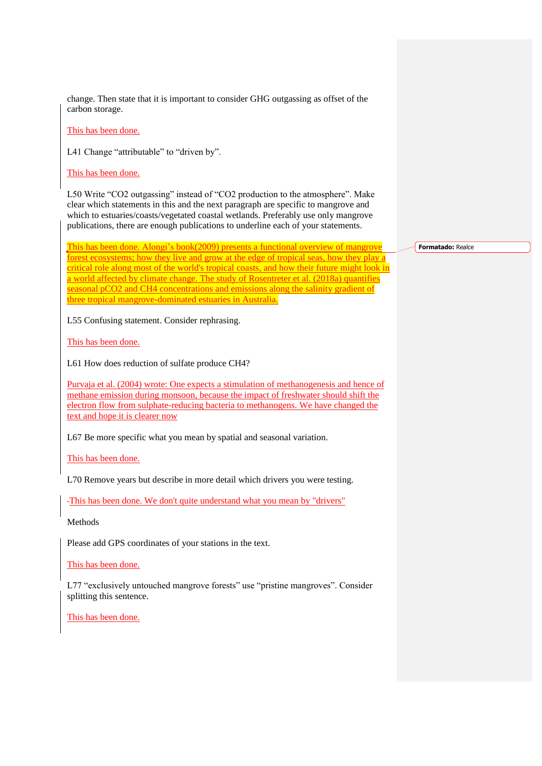change. Then state that it is important to consider GHG outgassing as offset of the carbon storage.

This has been done.

L41 Change "attributable" to "driven by".

This has been done.

L50 Write "CO2 outgassing" instead of "CO2 production to the atmosphere". Make clear which statements in this and the next paragraph are specific to mangrove and which to estuaries/coasts/vegetated coastal wetlands. Preferably use only mangrove publications, there are enough publications to underline each of your statements.

This has been done. Alongi's book(2009) presents a functional overview of mangrove forest ecosystems; how they live and grow at the edge of tropical seas, how they play a critical role along most of the world's tropical coasts, and how their future might look in a world affected by climate change. The study of Rosentreter et al. (2018a) quantifies seasonal pCO2 and CH4 concentrations and emissions along the salinity gradient of three tropical mangrove-dominated estuaries in Australia.

L55 Confusing statement. Consider rephrasing.

This has been done.

L61 How does reduction of sulfate produce CH4?

Purvaja et al. (2004) wrote: One expects a stimulation of methanogenesis and hence of methane emission during monsoon, because the impact of freshwater should shift the electron flow from sulphate-reducing bacteria to methanogens. We have changed the text and hope it is clearer now

L67 Be more specific what you mean by spatial and seasonal variation.

This has been done.

L70 Remove years but describe in more detail which drivers you were testing.

This has been done. We don't quite understand what you mean by "drivers"

Methods

Please add GPS coordinates of your stations in the text.

This has been done.

L77 "exclusively untouched mangrove forests" use "pristine mangroves". Consider splitting this sentence.

This has been done.

**Formatado:** Realce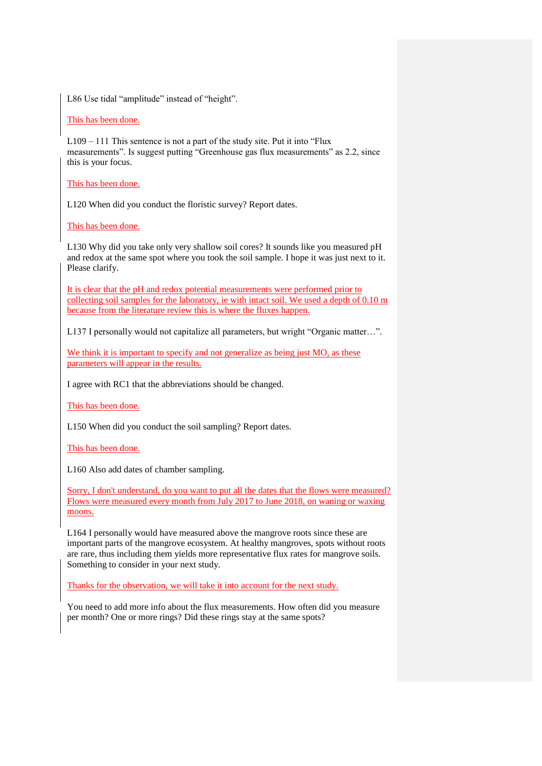L86 Use tidal "amplitude" instead of "height".

## This has been done.

L109 – 111 This sentence is not a part of the study site. Put it into "Flux measurements". Is suggest putting "Greenhouse gas flux measurements" as 2.2, since this is your focus.

This has been done.

L120 When did you conduct the floristic survey? Report dates.

This has been done.

L130 Why did you take only very shallow soil cores? It sounds like you measured pH and redox at the same spot where you took the soil sample. I hope it was just next to it. Please clarify.

It is clear that the pH and redox potential measurements were performed prior to collecting soil samples for the laboratory, ie with intact soil. We used a depth of 0.10 m because from the literature review this is where the fluxes happen.

L137 I personally would not capitalize all parameters, but wright "Organic matter…".

We think it is important to specify and not generalize as being just MO, as these parameters will appear in the results.

I agree with RC1 that the abbreviations should be changed.

This has been done.

L150 When did you conduct the soil sampling? Report dates.

This has been done.

L160 Also add dates of chamber sampling.

Sorry, I don't understand, do you want to put all the dates that the flows were measured? Flows were measured every month from July 2017 to June 2018, on waning or waxing moons.

L164 I personally would have measured above the mangrove roots since these are important parts of the mangrove ecosystem. At healthy mangroves, spots without roots are rare, thus including them yields more representative flux rates for mangrove soils. Something to consider in your next study.

Thanks for the observation, we will take it into account for the next study.

You need to add more info about the flux measurements. How often did you measure per month? One or more rings? Did these rings stay at the same spots?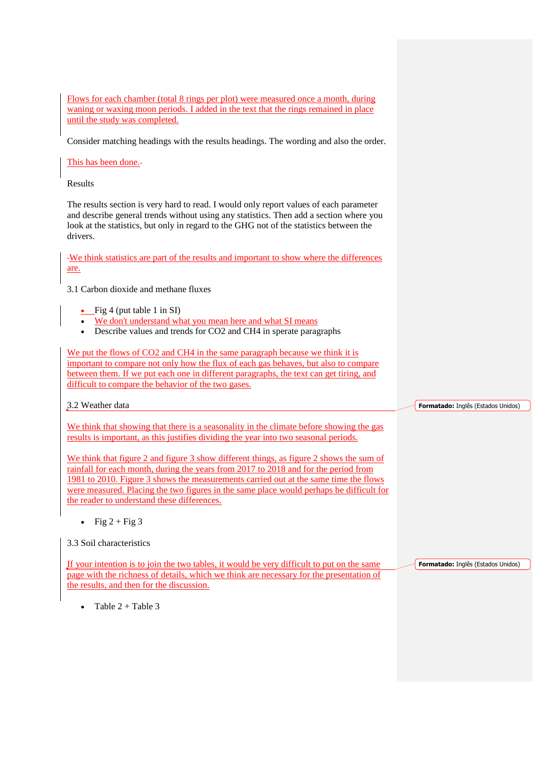Flows for each chamber (total 8 rings per plot) were measured once a month, during waning or waxing moon periods. I added in the text that the rings remained in place until the study was completed.

Consider matching headings with the results headings. The wording and also the order.

This has been done.

Results

The results section is very hard to read. I would only report values of each parameter and describe general trends without using any statistics. Then add a section where you look at the statistics, but only in regard to the GHG not of the statistics between the drivers.

We think statistics are part of the results and important to show where the differences are.

3.1 Carbon dioxide and methane fluxes

- Fig 4 (put table 1 in SI)
- We don't understand what you mean here and what SI means
- Describe values and trends for CO2 and CH4 in sperate paragraphs

We put the flows of CO2 and CH4 in the same paragraph because we think it is important to compare not only how the flux of each gas behaves, but also to compare between them. If we put each one in different paragraphs, the text can get tiring, and difficult to compare the behavior of the two gases.

3.2 Weather data

We think that showing that there is a seasonality in the climate before showing the gas results is important, as this justifies dividing the year into two seasonal periods.

We think that figure 2 and figure 3 show different things, as figure 2 shows the sum of rainfall for each month, during the years from 2017 to 2018 and for the period from 1981 to 2010. Figure 3 shows the measurements carried out at the same time the flows were measured. Placing the two figures in the same place would perhaps be difficult for the reader to understand these differences.

• Fig  $2 + Fig 3$ 

If your intention is to join the two tables, it would be very difficult to put on the same page with the richness of details, which we think are necessary for the presentation of the results, and then for the discussion.

**Formatado:** Inglês (Estados Unidos)

**Formatado:** Inglês (Estados Unidos)

 $\bullet$  Table  $2 +$  Table 3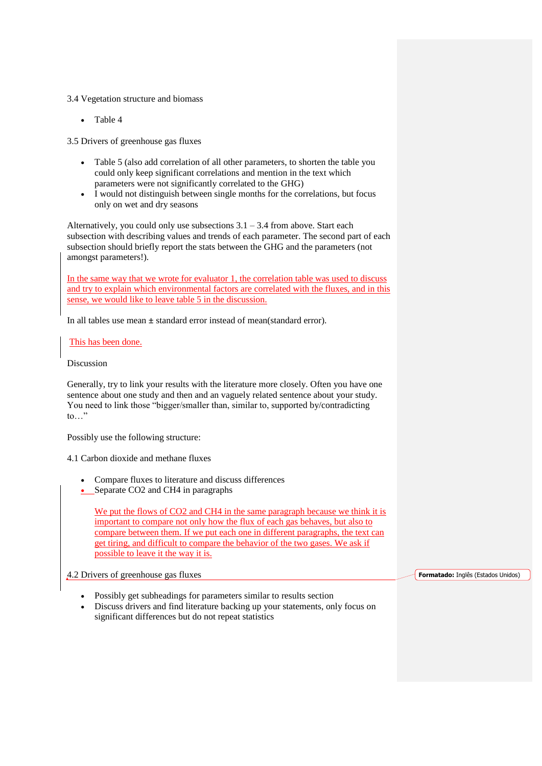## 3.4 Vegetation structure and biomass

• Table 4

3.5 Drivers of greenhouse gas fluxes

- Table 5 (also add correlation of all other parameters, to shorten the table you could only keep significant correlations and mention in the text which parameters were not significantly correlated to the GHG)
- I would not distinguish between single months for the correlations, but focus only on wet and dry seasons

Alternatively, you could only use subsections  $3.1 - 3.4$  from above. Start each subsection with describing values and trends of each parameter. The second part of each subsection should briefly report the stats between the GHG and the parameters (not amongst parameters!).

In the same way that we wrote for evaluator 1, the correlation table was used to discuss and try to explain which environmental factors are correlated with the fluxes, and in this sense, we would like to leave table 5 in the discussion.

In all tables use mean **±** standard error instead of mean(standard error).

This has been done.

Discussion

Generally, try to link your results with the literature more closely. Often you have one sentence about one study and then and an vaguely related sentence about your study. You need to link those "bigger/smaller than, similar to, supported by/contradicting  $\mathsf{to} \dots$ "

Possibly use the following structure:

4.1 Carbon dioxide and methane fluxes

- Compare fluxes to literature and discuss differences
- Separate CO2 and CH4 in paragraphs

We put the flows of CO2 and CH4 in the same paragraph because we think it is important to compare not only how the flux of each gas behaves, but also to compare between them. If we put each one in different paragraphs, the text can get tiring, and difficult to compare the behavior of the two gases. We ask if possible to leave it the way it is.

4.2 Drivers of greenhouse gas fluxes

- Possibly get subheadings for parameters similar to results section
- Discuss drivers and find literature backing up your statements, only focus on significant differences but do not repeat statistics

**Formatado:** Inglês (Estados Unidos)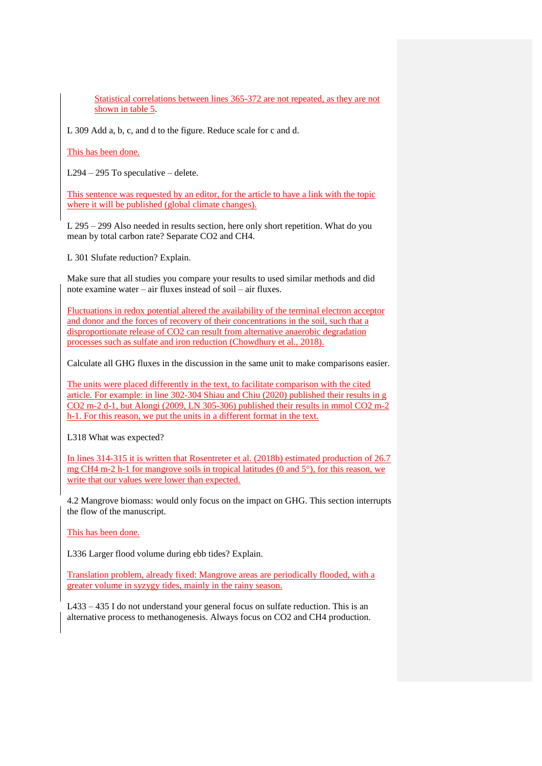Statistical correlations between lines 365-372 are not repeated, as they are not shown in table 5.

L 309 Add a, b, c, and d to the figure. Reduce scale for c and d.

This has been done.

L294 – 295 To speculative – delete.

This sentence was requested by an editor, for the article to have a link with the topic where it will be published (global climate changes).

L 295 – 299 Also needed in results section, here only short repetition. What do you mean by total carbon rate? Separate CO2 and CH4.

L 301 Slufate reduction? Explain.

Make sure that all studies you compare your results to used similar methods and did note examine water – air fluxes instead of soil – air fluxes.

Fluctuations in redox potential altered the availability of the terminal electron acceptor and donor and the forces of recovery of their concentrations in the soil, such that a disproportionate release of CO2 can result from alternative anaerobic degradation processes such as sulfate and iron reduction (Chowdhury et al., 2018).

Calculate all GHG fluxes in the discussion in the same unit to make comparisons easier.

The units were placed differently in the text, to facilitate comparison with the cited article. For example: in line 302-304 Shiau and Chiu (2020) published their results in g CO2 m-2 d-1, but Alongi (2009, LN 305-306) published their results in mmol CO2 m-2 h-1. For this reason, we put the units in a different format in the text.

L318 What was expected?

In lines 314-315 it is written that Rosentreter et al. (2018b) estimated production of 26.7 mg CH4 m-2 h-1 for mangrove soils in tropical latitudes (0 and  $5^\circ$ ), for this reason, we write that our values were lower than expected.

4.2 Mangrove biomass: would only focus on the impact on GHG. This section interrupts the flow of the manuscript.

This has been done.

L336 Larger flood volume during ebb tides? Explain.

Translation problem, already fixed: Mangrove areas are periodically flooded, with a greater volume in syzygy tides, mainly in the rainy season.

L433 – 435 I do not understand your general focus on sulfate reduction. This is an alternative process to methanogenesis. Always focus on CO2 and CH4 production.